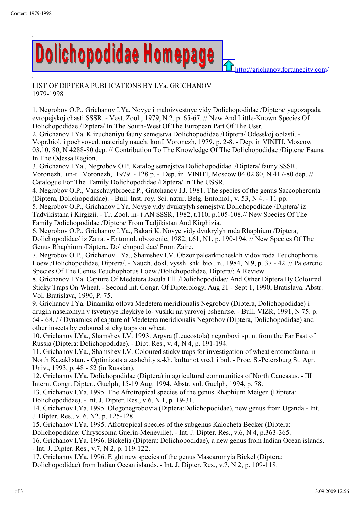

**A**<http://grichanov.fortunecity.com/>

LIST OF DIPTERA PUBLICATIONS BY I.Ya. GRICHANOV 1979-1998

1. Negrobov O.P., Grichanov I.Ya. Novye i maloizvestnye vidy Dolichopodidae /Diptera/ yugozapada evropejskoj chasti SSSR. - Vest. Zool., 1979, N 2, p. 65-67. // New And Little-Known Species Of Dolichopodidae /Diptera/ In The South-West Of The European Part Of The Ussr.

2. Grichanov I.Ya. K izucheniyu fauny semejstva Dolichopodidae /Diptera/ Odesskoj oblasti. - Vopr.biol. i pochvoved. materialy nauch. konf. Voronezh, 1979, p. 2-8. - Dep. in VINITI, Moscow 03.10. 80, N 4288-80 dep. // Contribution To The Knowledge Of The Dolichopodidae /Diptera/ Fauna In The Odessa Region.

3. Grichanov I.Ya., Negrobov O.P. Katalog semejstva Dolichopodidae /Diptera/ fauny SSSR. Voronezh. un-t. Voronezh, 1979. - 128 p. - Dep. in VINITI, Moscow 04.02.80, N 417-80 dep. // Catalogue For The Family Dolichopodidae /Diptera/ In The USSR.

4. Negrobov O.P., Vanschuytbroeck P., Gritchanov I.J. 1981. The species of the genus Saccopheronta (Diptera, Dolichopodidae). - Bull. Inst. roy. Sci. natur. Belg. Entomol., v. 53, N 4. - 11 pp.

5. Negrobov O.P., Grichanov I.Ya. Novye vidy dvukrylyh semejstva Dolichopodidae /Diptera/ iz Tadvikistana i Kirgizii. - Tr. Zool. in- t AN SSSR, 1982, t.110, p.105-108.// New Species Of The Family Dolichopodidae /Diptera/ From Tadjikistan And Kirghizia.

6. Negrobov O.P., Grichanov I.Ya., Bakari K. Novye vidy dvukrylyh roda Rhaphium /Diptera, Dolichopodidae/ iz Zaira. - Entomol. obozrenie, 1982, t.61, N1, p. 190-194. // New Species Of The Genus Rhaphium /Diptera, Dolichopodidae/ From Zaire.

7. Negrobov O.P., Grichanov I.Ya., Shamshev I.V. Obzor palearkticheskih vidov roda Teuchophorus Loew /Dolichopodidae, Diptera/. - Nauch. dokl. vyssh. shk. biol. n., 1984, N 9, p. 37 - 42. // Palearctic Species Of The Genus Teuchophorus Loew /Dolichopodidae, Diptera/: A Review.

8. Grichanov I.Ya. Capture Of Medetera Jacula Fll. /Dolichopodidae/ And Other Diptera By Coloured Sticky Traps On Wheat. - Second Int. Congr. Of Dipterology, Aug 21 - Sept 1, 1990, Bratislava. Abstr. Vol. Bratislava, 1990, P. 75.

9. Grichanov I.Ya. Dinamika otlova Medetera meridionalis Negrobov (Diptera, Dolichopodidae) i drugih nasekomyh v tsvetnyye kleykiye lo- vushki na yarovoj pshenitse. - Bull. VIZR, 1991, N 75. p. 64 - 68. / / Dynamics of capture of Medetera meridionalis Negrobov (Diptera, Dolichopodidae) and other insects by coloured sticky traps on wheat.

10. Grichanov I.Ya., Shamshev I.V. 1993. Argyra (Leucostola) negrobovi sp. n. from the Far East of Russia (Diptera: Dolichopodidae). - Dipt. Res., v. 4, N 4, p. 191-194.

11. Grichanov I.Ya., Shamshev I.V. Coloured sticky traps for investigation of wheat entomofauna in North Kazakhstan. - Optimizatsia zashchity s.-kh. kultur ot vred. i bol. - Proc. S.-Petersburg St. Agr. Univ., 1993, p. 48 - 52 (in Russian).

12. Grichanov I.Ya. Dolichopodidae (Diptera) in agricultural communities of North Caucasus. - III Intern. Congr. Dipter., Guelph, 15-19 Aug. 1994. Abstr. vol. Guelph, 1994, p. 78.

13. Grichanov I.Ya. 1995. The Afrotropical species of the genus Rhaphium Meigen (Diptera:

Dolichopodidae). - Int. J. Dipter. Res., v.6, N 1, p. 19-31.

14. Grichanov I.Ya. 1995. Olegonegrobovia (Diptera:Dolichopodidae), new genus from Uganda - Int. J. Dipter. Res., v. 6, N2, p. 125-128.

15. Grichanov I.Ya. 1995. Afrotropical species of the subgenus Kalocheta Becker (Diptera:

Dolichopodidae: Chrysosoma Guerin-Meneville). - Int. J. Dipter. Res., v.6, N 4, p.363-365.

16. Grichanov I.Ya. 1996. Bickelia (Diptera: Dolichopodidae), a new genus from Indian Ocean islands. - Int. J. Dipter. Res., v.7, N 2, p. 119-122.

17. Grichanov I.Ya. 1996. Eight new species of the genus Mascaromyia Bickel (Diptera:

Dolichopodidae) from Indian Ocean islands. - Int. J. Dipter. Res., v.7, N 2, p. 109-118.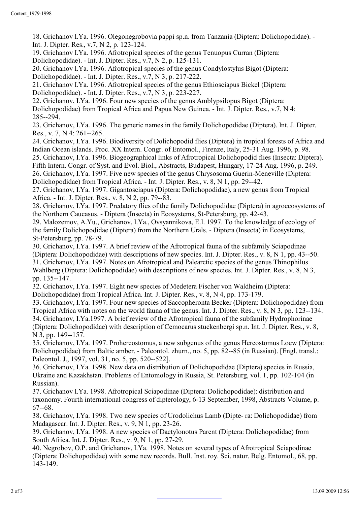18. Grichanov I.Ya. 1996. Olegonegrobovia pappi sp.n. from Tanzania (Diptera: Dolichopodidae). - Int. J. Dipter. Res., v.7, N 2, p. 123-124.

19. Grichanov I.Ya. 1996. Afrotropical species of the genus Tenuopus Curran (Diptera:

Dolichopodidae). - Int. J. Dipter. Res., v.7, N 2, p. 125-131.

20. Grichanov I.Ya. 1996. Afrotropical species of the genus Condylostylus Bigot (Diptera: Dolichopodidae). - Int. J. Dipter. Res., v.7, N 3, p. 217-222.

21. Grichanov I.Ya. 1996. Afrotropical species of the genus Ethiosciapus Bickel (Diptera:

Dolichopodidae). - Int. J. Dipter. Res., v.7, N 3, p. 223-227.

22. Grichanov, I.Ya. 1996. Four new species of the genus Amblypsilopus Bigot (Diptera: Dolichopodidae) from Tropical Africa and Papua New Guinea. - Int. J. Dipter. Res., v.7, N 4: 285--294.

23. Grichanov, I.Ya. 1996. The generic names in the family Dolichopodidae (Diptera). Int. J. Dipter. Res., v. 7, N 4: 261--265.

24. Grichanov, I.Ya. 1996. Biodiversity of Dolichopodid flies (Diptera) in tropical forests of Africa and Indian Ocean islands. Proc. XX Intern. Congr. of Entomol., Firenze, Italy, 25-31 Aug. 1996, p. 98.

25. Grichanov, I.Ya. 1996. Biogeographical links of Afrotropical Dolichopodid flies (Insecta: Diptera). Fifth Intern. Congr. of Syst. and Evol. Biol., Abstracts, Budapest, Hungary, 17-24 Aug. 1996, p. 249.

26. Grichanov, I.Ya. 1997. Five new species of the genus Chrysosoma Guerin-Meneville (Diptera:

Dolichopodidae) from Tropical Africa. - Int. J. Dipter. Res., v. 8, N 1, pp. 29--42.

27. Grichanov, I.Ya. 1997. Gigantosciapus (Diptera: Dolichopodidae), a new genus from Tropical Africa. - Int. J. Dipter. Res., v. 8, N 2, pp. 79--83.

28. Grichanov, I.Ya. 1997. Predatory flies of the family Dolichopodidae (Diptera) in agroecosystems of the Northern Caucasus. - Diptera (Insecta) in Ecosystems, St-Petersburg, pp. 42-43.

29. Malozemov, A.Yu., Grichanov, I.Ya., Ovsyannikova, E.I. 1997. To the knowledge of ecology of the family Dolichopodidae (Diptera) from the Northern Urals. - Diptera (Insecta) in Ecosystems, St-Petersburg, pp. 78-79.

30. Grichanov, I.Ya. 1997. A brief review of the Afrotropical fauna of the subfamily Sciapodinae (Diptera: Dolichopodidae) with descriptions of new species. Int. J. Dipter. Res., v. 8, N 1, pp. 43--50. 31. Grichanov, I.Ya. 1997. Notes on Afrotropical and Palearctic species of the genus Thinophilus Wahlberg (Diptera: Dolichopodidae) with descriptions of new species. Int. J. Dipter. Res., v. 8, N 3, pp. 135--147.

32. Grichanov, I.Ya. 1997. Eight new species of Medetera Fischer von Waldheim (Diptera:

Dolichopodidae) from Tropical Africa. Int. J. Dipter. Res., v. 8, N 4, pp. 173-179.

33. Grichanov, I.Ya. 1997. Four new species of Saccopheronta Becker (Diptera: Dolichopodidae) from Tropical Africa with notes on the world fauna of the genus. Int. J. Dipter. Res., v. 8, N 3, pp. 123--134. 34. Grichanov, I.Ya.1997. A brief review of the Afrotropical fauna of the subfamily Hydrophorinae (Diptera: Dolichopodidae) with description of Cemocarus stuckenbergi sp.n. Int. J. Dipter. Res., v. 8, N 3, pp. 149--157.

35. Grichanov, I.Ya. 1997. Prohercostomus, a new subgenus of the genus Hercostomus Loew (Diptera: Dolichopodidae) from Baltic amber. - Paleontol. zhurn., no. 5, pp. 82--85 (in Russian). [Engl. transl.: Paleontol. J., 1997, vol. 31, no. 5, pp. 520--522].

36. Grichanov, I.Ya. 1998. New data on distribution of Dolichopodidae (Diptera) species in Russia, Ukraine and Kazakhstan. Problems of Entomology in Russia, St. Petersburg, vol. 1, pp. 102-104 (in Russian).

37. Grichanov I.Ya. 1998. Afrotropical Sciapodinae (Diptera: Dolichopodidae): distribution and taxonomy. Fourth international congress of dipterology, 6-13 September, 1998, Abstracts Volume, p. 67--68.

38. Grichanov, I.Ya. 1998. Two new species of Urodolichus Lamb (Dipte- ra: Dolichopodidae) from Madagascar. Int. J. Dipter. Res., v. 9, N 1, pp. 23-26.

39. Grichanov, I.Ya. 1998. A new species of Dactylonotus Parent (Diptera: Dolichopodidae) from South Africa. Int. J. Dipter. Res., v. 9, N 1, pp. 27-29.

40. Negrobov, O.P. and Grichanov, I.Ya. 1998. Notes on several types of Afrotropical Sciapodinae (Diptera: Dolichopodidae) with some new records. Bull. Inst. roy. Sci. natur. Belg. Entomol., 68, pp. 143-149.